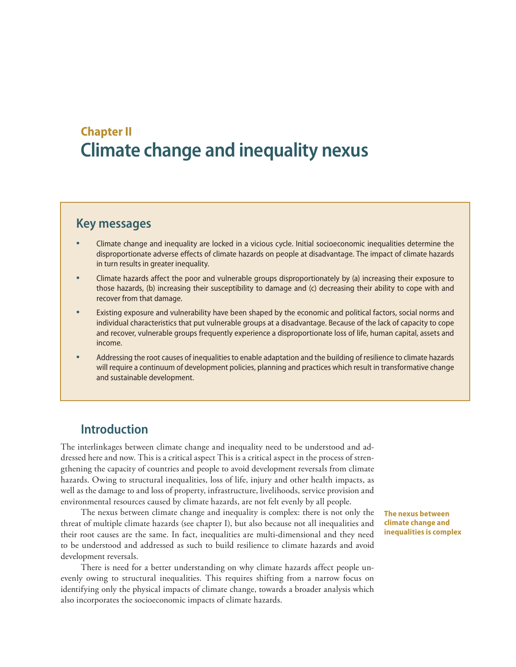# **Chapter II Climate change and inequality nexus**

# **Key messages**

- Climate change and inequality are locked in a vicious cycle. Initial socioeconomic inequalities determine the disproportionate adverse effects of climate hazards on people at disadvantage. The impact of climate hazards in turn results in greater inequality.
- Climate hazards affect the poor and vulnerable groups disproportionately by (a) increasing their exposure to those hazards, (b) increasing their susceptibility to damage and (c) decreasing their ability to cope with and recover from that damage.
- Existing exposure and vulnerability have been shaped by the economic and political factors, social norms and individual characteristics that put vulnerable groups at a disadvantage. Because of the lack of capacity to cope and recover, vulnerable groups frequently experience a disproportionate loss of life, human capital, assets and income.
- Addressing the root causes of inequalities to enable adaptation and the building of resilience to climate hazards will require a continuum of development policies, planning and practices which result in transformative change and sustainable development.

# **Introduction**

The interlinkages between climate change and inequality need to be understood and addressed here and now. This is a critical aspect This is a critical aspect in the process of strengthening the capacity of countries and people to avoid development reversals from climate hazards. Owing to structural inequalities, loss of life, injury and other health impacts, as well as the damage to and loss of property, infrastructure, livelihoods, service provision and environmental resources caused by climate hazards, are not felt evenly by all people.

The nexus between climate change and inequality is complex: there is not only the threat of multiple climate hazards (see chapter I), but also because not all inequalities and their root causes are the same. In fact, inequalities are multi-dimensional and they need to be understood and addressed as such to build resilience to climate hazards and avoid development reversals.

There is need for a better understanding on why climate hazards affect people unevenly owing to structural inequalities. This requires shifting from a narrow focus on identifying only the physical impacts of climate change, towards a broader analysis which also incorporates the socioeconomic impacts of climate hazards.

**The nexus between climate change and inequalities is complex**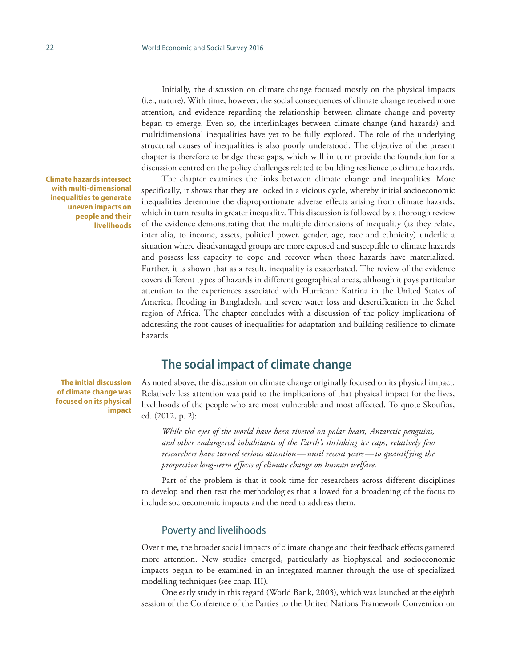Initially, the discussion on climate change focused mostly on the physical impacts (i.e., nature). With time, however, the social consequences of climate change received more attention, and evidence regarding the relationship between climate change and poverty began to emerge. Even so, the interlinkages between climate change (and hazards) and multidimensional inequalities have yet to be fully explored. The role of the underlying structural causes of inequalities is also poorly understood. The objective of the present chapter is therefore to bridge these gaps, which will in turn provide the foundation for a discussion centred on the policy challenges related to building resilience to climate hazards.

The chapter examines the links between climate change and inequalities. More specifically, it shows that they are locked in a vicious cycle, whereby initial socioeconomic inequalities determine the disproportionate adverse effects arising from climate hazards, which in turn results in greater inequality. This discussion is followed by a thorough review of the evidence demonstrating that the multiple dimensions of inequality (as they relate, inter alia, to income, assets, political power, gender, age, race and ethnicity) underlie a situation where disadvantaged groups are more exposed and susceptible to climate hazards and possess less capacity to cope and recover when those hazards have materialized. Further, it is shown that as a result, inequality is exacerbated. The review of the evidence covers different types of hazards in different geographical areas, although it pays particular attention to the experiences associated with Hurricane Katrina in the United States of America, flooding in Bangladesh, and severe water loss and desertification in the Sahel region of Africa. The chapter concludes with a discussion of the policy implications of addressing the root causes of inequalities for adaptation and building resilience to climate hazards.

# **The social impact of climate change**

**The initial discussion of climate change was focused on its physical impact**

**Climate hazards intersect with multi-dimensional inequalities to generate uneven impacts on people and their livelihoods**

> As noted above, the discussion on climate change originally focused on its physical impact. Relatively less attention was paid to the implications of that physical impact for the lives, livelihoods of the people who are most vulnerable and most affected. To quote Skoufias, ed. (2012, p. 2):

*While the eyes of the world have been riveted on polar bears, Antarctic penguins, and other endangered inhabitants of the Earth's shrinking ice caps, relatively few researchers have turned serious attention—until recent years—to quantifying the prospective long-term effects of climate change on human welfare.* 

Part of the problem is that it took time for researchers across different disciplines to develop and then test the methodologies that allowed for a broadening of the focus to include socioeconomic impacts and the need to address them.

#### Poverty and livelihoods

Over time, the broader social impacts of climate change and their feedback effects garnered more attention. New studies emerged, particularly as biophysical and socioeconomic impacts began to be examined in an integrated manner through the use of specialized modelling techniques (see chap. III).

One early study in this regard (World Bank, 2003), which was launched at the eighth session of the Conference of the Parties to the United Nations Framework Convention on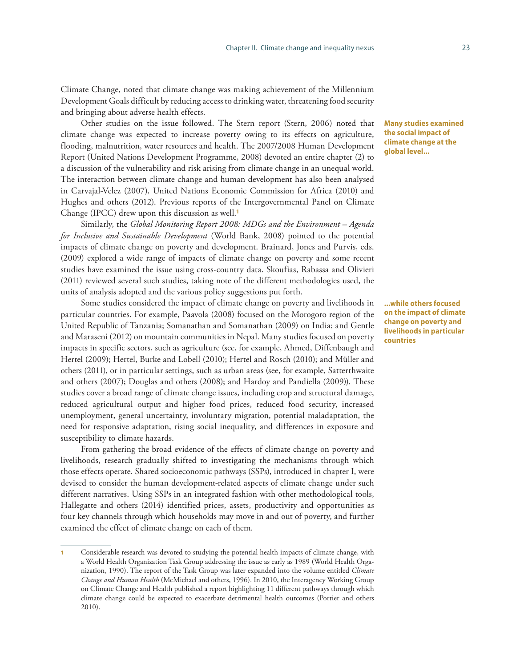Climate Change, noted that climate change was making achievement of the Millennium Development Goals difficult by reducing access to drinking water, threatening food security and bringing about adverse health effects.

Other studies on the issue followed. The Stern report (Stern, 2006) noted that climate change was expected to increase poverty owing to its effects on agriculture, flooding, malnutrition, water resources and health. The 2007/2008 Human Development Report (United Nations Development Programme, 2008) devoted an entire chapter (2) to a discussion of the vulnerability and risk arising from climate change in an unequal world. The interaction between climate change and human development has also been analysed in Carvajal-Velez (2007), United Nations Economic Commission for Africa (2010) and Hughes and others (2012). Previous reports of the Intergovernmental Panel on Climate Change (IPCC) drew upon this discussion as well.**<sup>1</sup>**

Similarly, the *Global Monitoring Report 2008: MDGs and the Environment – Agenda for Inclusive and Sustainable Development* (World Bank, 2008) pointed to the potential impacts of climate change on poverty and development. Brainard, Jones and Purvis, eds. (2009) explored a wide range of impacts of climate change on poverty and some recent studies have examined the issue using cross-country data. Skoufias, Rabassa and Olivieri (2011) reviewed several such studies, taking note of the different methodologies used, the units of analysis adopted and the various policy suggestions put forth.

Some studies considered the impact of climate change on poverty and livelihoods in particular countries. For example, Paavola (2008) focused on the Morogoro region of the United Republic of Tanzania; Somanathan and Somanathan (2009) on India; and Gentle and Maraseni (2012) on mountain communities in Nepal. Many studies focused on poverty impacts in specific sectors, such as agriculture (see, for example, Ahmed, Diffenbaugh and Hertel (2009); Hertel, Burke and Lobell (2010); Hertel and Rosch (2010); and Müller and others (2011), or in particular settings, such as urban areas (see, for example, Satterthwaite and others (2007); Douglas and others (2008); and Hardoy and Pandiella (2009)). These studies cover a broad range of climate change issues, including crop and structural damage, reduced agricultural output and higher food prices, reduced food security, increased unemployment, general uncertainty, involuntary migration, potential maladaptation, the need for responsive adaptation, rising social inequality, and differences in exposure and susceptibility to climate hazards.

From gathering the broad evidence of the effects of climate change on poverty and livelihoods, research gradually shifted to investigating the mechanisms through which those effects operate. Shared socioeconomic pathways (SSPs), introduced in chapter I, were devised to consider the human development-related aspects of climate change under such different narratives. Using SSPs in an integrated fashion with other methodological tools, Hallegatte and others (2014) identified prices, assets, productivity and opportunities as four key channels through which households may move in and out of poverty, and further examined the effect of climate change on each of them.

**Many studies examined the social impact of climate change at the global level...**

**...while others focused on the impact of climate change on poverty and livelihoods in particular countries**

<sup>1</sup> Considerable research was devoted to studying the potential health impacts of climate change, with a World Health Organization Task Group addressing the issue as early as 1989 (World Health Organization, 1990). The report of the Task Group was later expanded into the volume entitled *Climate Change and Human Health* (McMichael and others, 1996). In 2010, the Interagency Working Group on Climate Change and Health published a report highlighting 11 different pathways through which climate change could be expected to exacerbate detrimental health outcomes (Portier and others 2010).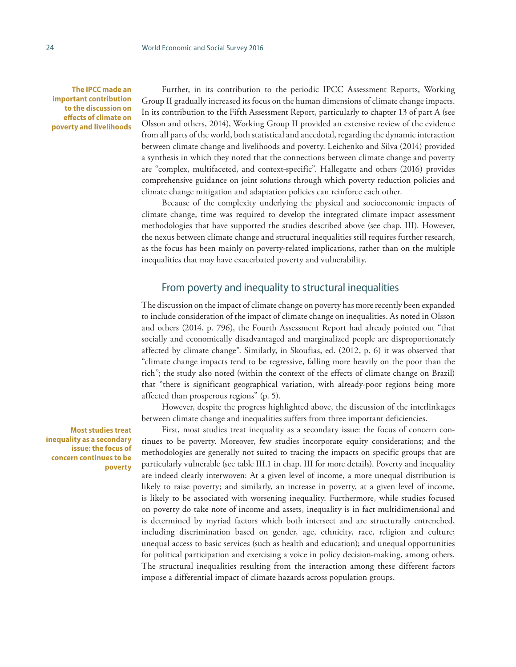**The IPCC made an important contribution to the discussion on effects of climate on poverty and livelihoods**

Further, in its contribution to the periodic IPCC Assessment Reports, Working Group II gradually increased its focus on the human dimensions of climate change impacts. In its contribution to the Fifth Assessment Report, particularly to chapter 13 of part A (see Olsson and others, 2014), Working Group II provided an extensive review of the evidence from all parts of the world, both statistical and anecdotal, regarding the dynamic interaction between climate change and livelihoods and poverty. Leichenko and Silva (2014) provided a synthesis in which they noted that the connections between climate change and poverty are "complex, multifaceted, and context-specific". Hallegatte and others (2016) provides comprehensive guidance on joint solutions through which poverty reduction policies and climate change mitigation and adaptation policies can reinforce each other.

Because of the complexity underlying the physical and socioeconomic impacts of climate change, time was required to develop the integrated climate impact assessment methodologies that have supported the studies described above (see chap. III). However, the nexus between climate change and structural inequalities still requires further research, as the focus has been mainly on poverty-related implications, rather than on the multiple inequalities that may have exacerbated poverty and vulnerability.

### From poverty and inequality to structural inequalities

The discussion on the impact of climate change on poverty has more recently been expanded to include consideration of the impact of climate change on inequalities. As noted in Olsson and others (2014, p. 796), the Fourth Assessment Report had already pointed out "that socially and economically disadvantaged and marginalized people are disproportionately affected by climate change". Similarly, in Skoufias, ed. (2012, p. 6) it was observed that "climate change impacts tend to be regressive, falling more heavily on the poor than the rich"; the study also noted (within the context of the effects of climate change on Brazil) that "there is significant geographical variation, with already-poor regions being more affected than prosperous regions" (p. 5).

However, despite the progress highlighted above, the discussion of the interlinkages between climate change and inequalities suffers from three important deficiencies.

First, most studies treat inequality as a secondary issue: the focus of concern continues to be poverty. Moreover, few studies incorporate equity considerations; and the methodologies are generally not suited to tracing the impacts on specific groups that are particularly vulnerable (see table III.1 in chap. III for more details). Poverty and inequality are indeed clearly interwoven: At a given level of income, a more unequal distribution is likely to raise poverty; and similarly, an increase in poverty, at a given level of income, is likely to be associated with worsening inequality. Furthermore, while studies focused on poverty do take note of income and assets, inequality is in fact multidimensional and is determined by myriad factors which both intersect and are structurally entrenched, including discrimination based on gender, age, ethnicity, race, religion and culture; unequal access to basic services (such as health and education); and unequal opportunities for political participation and exercising a voice in policy decision-making, among others. The structural inequalities resulting from the interaction among these different factors impose a differential impact of climate hazards across population groups.

**Most studies treat inequality as a secondary issue: the focus of concern continues to be poverty**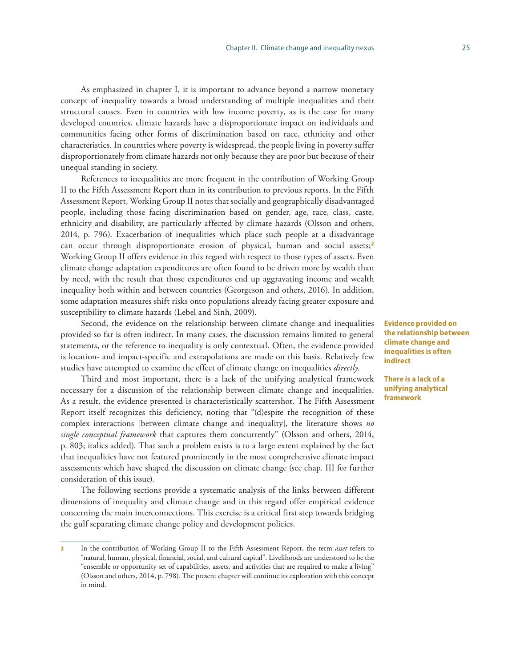As emphasized in chapter I, it is important to advance beyond a narrow monetary concept of inequality towards a broad understanding of multiple inequalities and their structural causes. Even in countries with low income poverty, as is the case for many developed countries, climate hazards have a disproportionate impact on individuals and communities facing other forms of discrimination based on race, ethnicity and other characteristics. In countries where poverty is widespread, the people living in poverty suffer disproportionately from climate hazards not only because they are poor but because of their unequal standing in society.

References to inequalities are more frequent in the contribution of Working Group II to the Fifth Assessment Report than in its contribution to previous reports. In the Fifth Assessment Report, Working Group II notes that socially and geographically disadvantaged people, including those facing discrimination based on gender, age, race, class, caste, ethnicity and disability, are particularly affected by climate hazards (Olsson and others, 2014, p. 796). Exacerbation of inequalities which place such people at a disadvantage can occur through disproportionate erosion of physical, human and social assets;**<sup>2</sup>** Working Group II offers evidence in this regard with respect to those types of assets. Even climate change adaptation expenditures are often found to be driven more by wealth than by need, with the result that those expenditures end up aggravating income and wealth inequality both within and between countries (Georgeson and others, 2016). In addition, some adaptation measures shift risks onto populations already facing greater exposure and susceptibility to climate hazards (Lebel and Sinh, 2009).

Second, the evidence on the relationship between climate change and inequalities provided so far is often indirect. In many cases, the discussion remains limited to general statements, or the reference to inequality is only contextual. Often, the evidence provided is location- and impact-specific and extrapolations are made on this basis. Relatively few studies have attempted to examine the effect of climate change on inequalities *directly*.

Third and most important, there is a lack of the unifying analytical framework necessary for a discussion of the relationship between climate change and inequalities. As a result, the evidence presented is characteristically scattershot. The Fifth Assessment Report itself recognizes this deficiency, noting that "(d)espite the recognition of these complex interactions [between climate change and inequality], the literature shows *no single conceptual framework* that captures them concurrently" (Olsson and others, 2014, p. 803; italics added). That such a problem exists is to a large extent explained by the fact that inequalities have not featured prominently in the most comprehensive climate impact assessments which have shaped the discussion on climate change (see chap. III for further consideration of this issue).

The following sections provide a systematic analysis of the links between different dimensions of inequality and climate change and in this regard offer empirical evidence concerning the main interconnections. This exercise is a critical first step towards bridging the gulf separating climate change policy and development policies.

**Evidence provided on the relationship between climate change and inequalities is often indirect**

**There is a lack of a unifying analytical framework**

<sup>2</sup> In the contribution of Working Group II to the Fifth Assessment Report, the term *asset* refers to "natural, human, physical, financial, social, and cultural capital". Livelihoods are understood to be the "ensemble or opportunity set of capabilities, assets, and activities that are required to make a living" (Olsson and others, 2014, p. 798). The present chapter will continue its exploration with this concept in mind.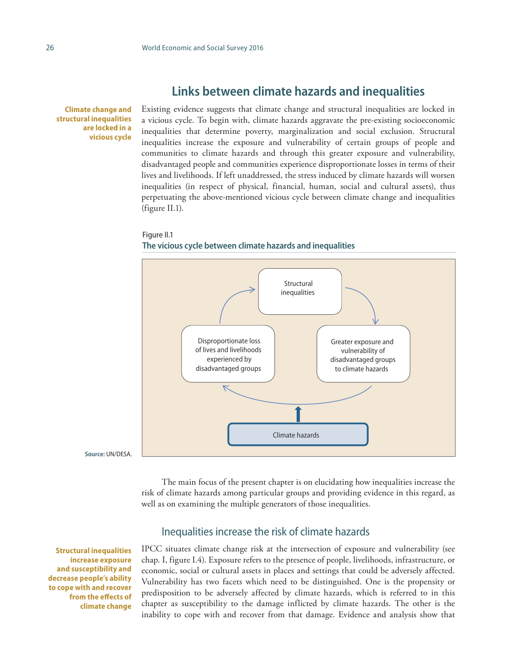# **Links between climate hazards and inequalities**

**Climate change and structural inequalities are locked in a vicious cycle**

Existing evidence suggests that climate change and structural inequalities are locked in a vicious cycle. To begin with, climate hazards aggravate the pre-existing socioeconomic inequalities that determine poverty, marginalization and social exclusion. Structural inequalities increase the exposure and vulnerability of certain groups of people and communities to climate hazards and through this greater exposure and vulnerability, disadvantaged people and communities experience disproportionate losses in terms of their lives and livelihoods. If left unaddressed, the stress induced by climate hazards will worsen inequalities (in respect of physical, financial, human, social and cultural assets), thus perpetuating the above-mentioned vicious cycle between climate change and inequalities (figure II.1).

#### Figure II.1 **The vicious cycle between climate hazards and inequalities**



**Source:** UN/DESA.

The main focus of the present chapter is on elucidating how inequalities increase the risk of climate hazards among particular groups and providing evidence in this regard, as well as on examining the multiple generators of those inequalities.

### Inequalities increase the risk of climate hazards

**Structural inequalities increase exposure and susceptibility and decrease people's ability to cope with and recover from the effects of climate change**

IPCC situates climate change risk at the intersection of exposure and vulnerability (see chap. I, figure I.4). Exposure refers to the presence of people, livelihoods, infrastructure, or economic, social or cultural assets in places and settings that could be adversely affected. Vulnerability has two facets which need to be distinguished. One is the propensity or predisposition to be adversely affected by climate hazards, which is referred to in this chapter as susceptibility to the damage inflicted by climate hazards. The other is the inability to cope with and recover from that damage. Evidence and analysis show that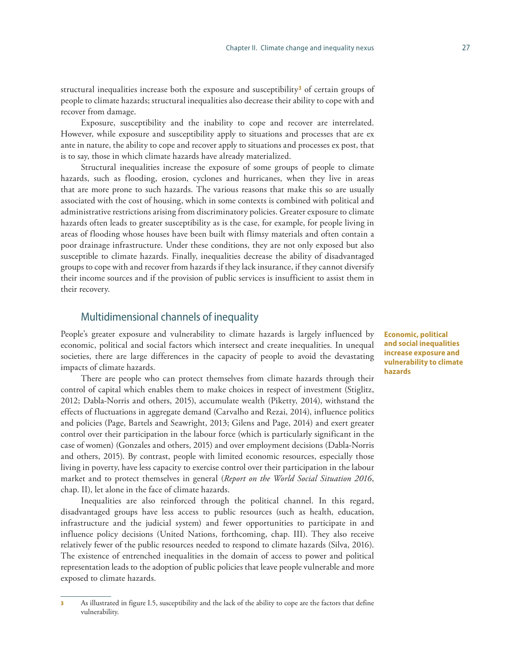structural inequalities increase both the exposure and susceptibility**<sup>3</sup>** of certain groups of people to climate hazards; structural inequalities also decrease their ability to cope with and recover from damage.

Exposure, susceptibility and the inability to cope and recover are interrelated. However, while exposure and susceptibility apply to situations and processes that are ex ante in nature, the ability to cope and recover apply to situations and processes ex post, that is to say, those in which climate hazards have already materialized.

Structural inequalities increase the exposure of some groups of people to climate hazards, such as flooding, erosion, cyclones and hurricanes, when they live in areas that are more prone to such hazards. The various reasons that make this so are usually associated with the cost of housing, which in some contexts is combined with political and administrative restrictions arising from discriminatory policies. Greater exposure to climate hazards often leads to greater susceptibility as is the case, for example, for people living in areas of flooding whose houses have been built with flimsy materials and often contain a poor drainage infrastructure. Under these conditions, they are not only exposed but also susceptible to climate hazards. Finally, inequalities decrease the ability of disadvantaged groups to cope with and recover from hazards if they lack insurance, if they cannot diversify their income sources and if the provision of public services is insufficient to assist them in their recovery.

### Multidimensional channels of inequality

People's greater exposure and vulnerability to climate hazards is largely influenced by economic, political and social factors which intersect and create inequalities. In unequal societies, there are large differences in the capacity of people to avoid the devastating impacts of climate hazards.

There are people who can protect themselves from climate hazards through their control of capital which enables them to make choices in respect of investment (Stiglitz, 2012; Dabla-Norris and others, 2015), accumulate wealth (Piketty, 2014), withstand the effects of fluctuations in aggregate demand (Carvalho and Rezai, 2014), influence politics and policies (Page, Bartels and Seawright, 2013; Gilens and Page, 2014) and exert greater control over their participation in the labour force (which is particularly significant in the case of women) (Gonzales and others, 2015) and over employment decisions (Dabla-Norris and others, 2015). By contrast, people with limited economic resources, especially those living in poverty, have less capacity to exercise control over their participation in the labour market and to protect themselves in general (*Report on the World Social Situation 2016*, chap. II), let alone in the face of climate hazards.

Inequalities are also reinforced through the political channel. In this regard, disadvantaged groups have less access to public resources (such as health, education, infrastructure and the judicial system) and fewer opportunities to participate in and influence policy decisions (United Nations, forthcoming, chap. III). They also receive relatively fewer of the public resources needed to respond to climate hazards (Silva, 2016). The existence of entrenched inequalities in the domain of access to power and political representation leads to the adoption of public policies that leave people vulnerable and more exposed to climate hazards.

**Economic, political and social inequalities increase exposure and vulnerability to climate hazards**

As illustrated in figure I.5, susceptibility and the lack of the ability to cope are the factors that define vulnerability.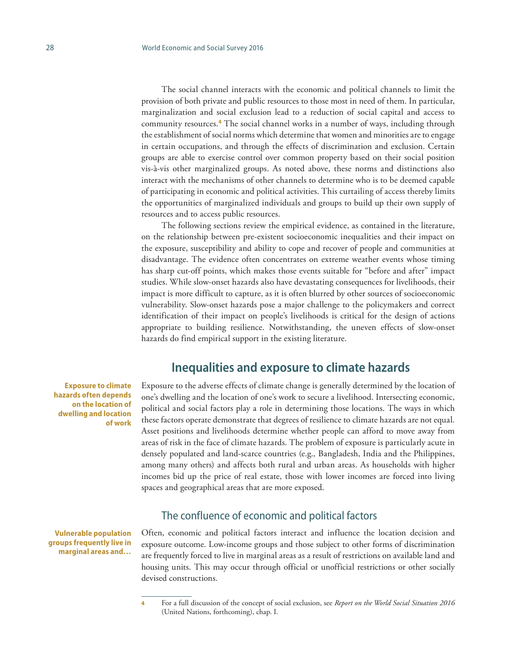The social channel interacts with the economic and political channels to limit the provision of both private and public resources to those most in need of them. In particular, marginalization and social exclusion lead to a reduction of social capital and access to community resources.**<sup>4</sup>** The social channel works in a number of ways, including through the establishment of social norms which determine that women and minorities are to engage in certain occupations, and through the effects of discrimination and exclusion. Certain groups are able to exercise control over common property based on their social position vis-à-vis other marginalized groups. As noted above, these norms and distinctions also interact with the mechanisms of other channels to determine who is to be deemed capable of participating in economic and political activities. This curtailing of access thereby limits the opportunities of marginalized individuals and groups to build up their own supply of resources and to access public resources.

The following sections review the empirical evidence, as contained in the literature, on the relationship between pre-existent socioeconomic inequalities and their impact on the exposure, susceptibility and ability to cope and recover of people and communities at disadvantage. The evidence often concentrates on extreme weather events whose timing has sharp cut-off points, which makes those events suitable for "before and after" impact studies. While slow-onset hazards also have devastating consequences for livelihoods, their impact is more difficult to capture, as it is often blurred by other sources of socioeconomic vulnerability. Slow-onset hazards pose a major challenge to the policymakers and correct identification of their impact on people's livelihoods is critical for the design of actions appropriate to building resilience. Notwithstanding, the uneven effects of slow-onset hazards do find empirical support in the existing literature.

# **Inequalities and exposure to climate hazards**

Exposure to the adverse effects of climate change is generally determined by the location of one's dwelling and the location of one's work to secure a livelihood. Intersecting economic, political and social factors play a role in determining those locations. The ways in which these factors operate demonstrate that degrees of resilience to climate hazards are not equal. Asset positions and livelihoods determine whether people can afford to move away from areas of risk in the face of climate hazards. The problem of exposure is particularly acute in densely populated and land-scarce countries (e.g., Bangladesh, India and the Philippines, among many others) and affects both rural and urban areas. As households with higher incomes bid up the price of real estate, those with lower incomes are forced into living spaces and geographical areas that are more exposed.

### The confluence of economic and political factors

Often, economic and political factors interact and influence the location decision and exposure outcome. Low-income groups and those subject to other forms of discrimination are frequently forced to live in marginal areas as a result of restrictions on available land and housing units. This may occur through official or unofficial restrictions or other socially devised constructions.

**Exposure to climate hazards often depends on the location of dwelling and location of work**

**Vulnerable population groups frequently live in marginal areas and…**

<sup>4</sup> For a full discussion of the concept of social exclusion, see *Report on the World Social Situation 2016*  (United Nations, forthcoming), chap. I.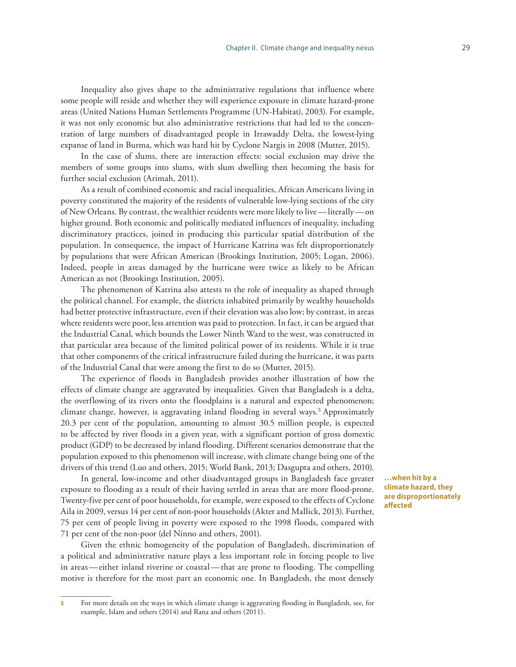Inequality also gives shape to the administrative regulations that influence where some people will reside and whether they will experience exposure in climate hazard-prone areas (United Nations Human Settlements Programme (UN-Habitat), 2003). For example, it was not only economic but also administrative restrictions that had led to the concentration of large numbers of disadvantaged people in Irrawaddy Delta, the lowest-lying expanse of land in Burma, which was hard hit by Cyclone Nargis in 2008 (Mutter, 2015).

In the case of slums, there are interaction effects: social exclusion may drive the members of some groups into slums, with slum dwelling then becoming the basis for further social exclusion (Arimah, 2011).

As a result of combined economic and racial inequalities, African Americans living in poverty constituted the majority of the residents of vulnerable low-lying sections of the city of New Orleans. By contrast, the wealthier residents were more likely to live—literally—on higher ground. Both economic and politically mediated influences of inequality, including discriminatory practices, joined in producing this particular spatial distribution of the population. In consequence, the impact of Hurricane Katrina was felt disproportionately by populations that were African American (Brookings Institution, 2005; Logan, 2006). Indeed, people in areas damaged by the hurricane were twice as likely to be African American as not (Brookings Institution, 2005).

The phenomenon of Katrina also attests to the role of inequality as shaped through the political channel. For example, the districts inhabited primarily by wealthy households had better protective infrastructure, even if their elevation was also low; by contrast, in areas where residents were poor, less attention was paid to protection. In fact, it can be argued that the Industrial Canal, which bounds the Lower Ninth Ward to the west, was constructed in that particular area because of the limited political power of its residents. While it is true that other components of the critical infrastructure failed during the hurricane, it was parts of the Industrial Canal that were among the first to do so (Mutter, 2015).

The experience of floods in Bangladesh provides another illustration of how the effects of climate change are aggravated by inequalities. Given that Bangladesh is a delta, the overflowing of its rivers onto the floodplains is a natural and expected phenomenon; climate change, however, is aggravating inland flooding in several ways.**<sup>5</sup>** Approximately 20.3 per cent of the population, amounting to almost 30.5 million people, is expected to be affected by river floods in a given year, with a significant portion of gross domestic product (GDP) to be decreased by inland flooding. Different scenarios demonstrate that the population exposed to this phenomenon will increase, with climate change being one of the drivers of this trend (Luo and others, 2015; World Bank, 2013; Dasgupta and others, 2010).

In general, low-income and other disadvantaged groups in Bangladesh face greater exposure to flooding as a result of their having settled in areas that are more flood-prone. Twenty-five per cent of poor households, for example, were exposed to the effects of Cyclone Aila in 2009, versus 14 per cent of non-poor households (Akter and Mallick, 2013). Further, 75 per cent of people living in poverty were exposed to the 1998 floods, compared with 71 per cent of the non-poor (del Ninno and others, 2001).

Given the ethnic homogeneity of the population of Bangladesh, discrimination of a political and administrative nature plays a less important role in forcing people to live in areas—either inland riverine or coastal—that are prone to flooding. The compelling motive is therefore for the most part an economic one. In Bangladesh, the most densely

**…when hit by a climate hazard, they are disproportionately affected**

<sup>5</sup> For more details on the ways in which climate change is aggravating flooding in Bangladesh, see, for example, Islam and others (2014) and Rana and others (2011).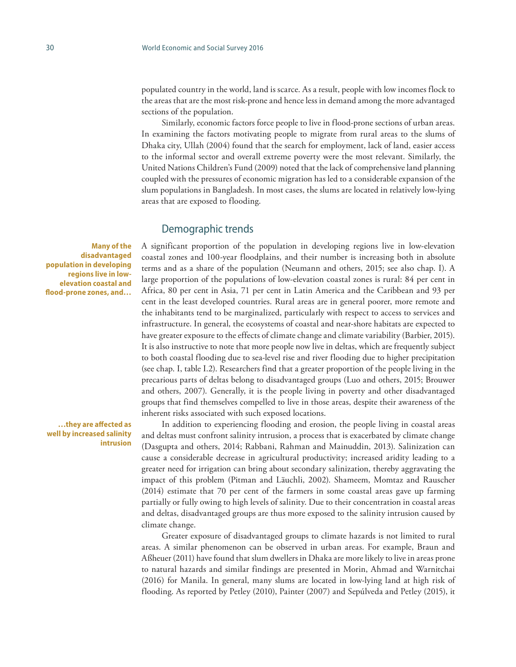populated country in the world, land is scarce. As a result, people with low incomes flock to the areas that are the most risk-prone and hence less in demand among the more advantaged sections of the population.

Similarly, economic factors force people to live in flood-prone sections of urban areas. In examining the factors motivating people to migrate from rural areas to the slums of Dhaka city, Ullah (2004) found that the search for employment, lack of land, easier access to the informal sector and overall extreme poverty were the most relevant. Similarly, the United Nations Children's Fund (2009) noted that the lack of comprehensive land planning coupled with the pressures of economic migration has led to a considerable expansion of the slum populations in Bangladesh. In most cases, the slums are located in relatively low-lying areas that are exposed to flooding.

#### Demographic trends

A significant proportion of the population in developing regions live in low-elevation coastal zones and 100-year floodplains, and their number is increasing both in absolute terms and as a share of the population (Neumann and others, 2015; see also chap. I). A large proportion of the populations of low-elevation coastal zones is rural: 84 per cent in Africa, 80 per cent in Asia, 71 per cent in Latin America and the Caribbean and 93 per cent in the least developed countries. Rural areas are in general poorer, more remote and the inhabitants tend to be marginalized, particularly with respect to access to services and infrastructure. In general, the ecosystems of coastal and near-shore habitats are expected to have greater exposure to the effects of climate change and climate variability (Barbier, 2015). It is also instructive to note that more people now live in deltas, which are frequently subject to both coastal flooding due to sea-level rise and river flooding due to higher precipitation (see chap. I, table I.2). Researchers find that a greater proportion of the people living in the precarious parts of deltas belong to disadvantaged groups (Luo and others, 2015; Brouwer and others, 2007). Generally, it is the people living in poverty and other disadvantaged groups that find themselves compelled to live in those areas, despite their awareness of the inherent risks associated with such exposed locations.

**Many of the disadvantaged population in developing regions live in lowelevation coastal and flood-prone zones, and…**

**…they are affected as well by increased salinity intrusion**

In addition to experiencing flooding and erosion, the people living in coastal areas and deltas must confront salinity intrusion, a process that is exacerbated by climate change (Dasgupta and others, 2014; Rabbani, Rahman and Mainuddin, 2013). Salinization can cause a considerable decrease in agricultural productivity; increased aridity leading to a greater need for irrigation can bring about secondary salinization, thereby aggravating the impact of this problem (Pitman and Läuchli, 2002). Shameem, Momtaz and Rauscher (2014) estimate that 70 per cent of the farmers in some coastal areas gave up farming partially or fully owing to high levels of salinity. Due to their concentration in coastal areas and deltas, disadvantaged groups are thus more exposed to the salinity intrusion caused by climate change.

Greater exposure of disadvantaged groups to climate hazards is not limited to rural areas. A similar phenomenon can be observed in urban areas. For example, Braun and Aßheuer (2011) have found that slum dwellers in Dhaka are more likely to live in areas prone to natural hazards and similar findings are presented in Morin, Ahmad and Warnitchai (2016) for Manila. In general, many slums are located in low-lying land at high risk of flooding. As reported by Petley (2010), Painter (2007) and Sepúlveda and Petley (2015), it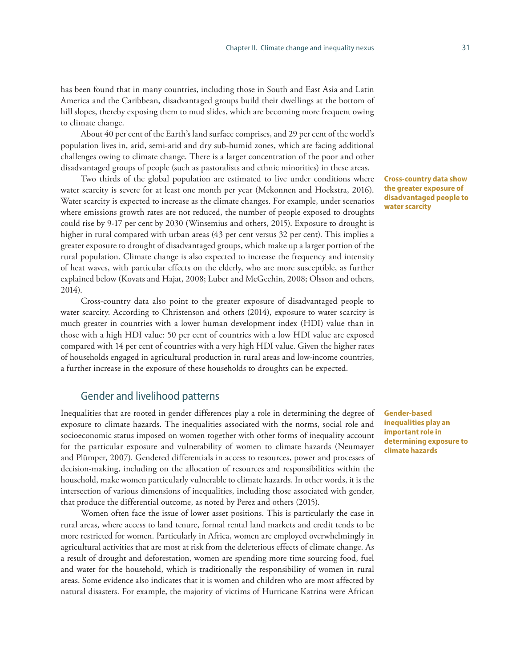has been found that in many countries, including those in South and East Asia and Latin America and the Caribbean, disadvantaged groups build their dwellings at the bottom of hill slopes, thereby exposing them to mud slides, which are becoming more frequent owing to climate change.

About 40 per cent of the Earth's land surface comprises, and 29 per cent of the world's population lives in, arid, semi-arid and dry sub-humid zones, which are facing additional challenges owing to climate change. There is a larger concentration of the poor and other disadvantaged groups of people (such as pastoralists and ethnic minorities) in these areas.

Two thirds of the global population are estimated to live under conditions where water scarcity is severe for at least one month per year (Mekonnen and Hoekstra, 2016). Water scarcity is expected to increase as the climate changes. For example, under scenarios where emissions growth rates are not reduced, the number of people exposed to droughts could rise by 9-17 per cent by 2030 (Winsemius and others, 2015). Exposure to drought is higher in rural compared with urban areas (43 per cent versus 32 per cent). This implies a greater exposure to drought of disadvantaged groups, which make up a larger portion of the rural population. Climate change is also expected to increase the frequency and intensity of heat waves, with particular effects on the elderly, who are more susceptible, as further explained below (Kovats and Hajat, 2008; Luber and McGeehin, 2008; Olsson and others, 2014).

Cross-country data also point to the greater exposure of disadvantaged people to water scarcity. According to Christenson and others (2014), exposure to water scarcity is much greater in countries with a lower human development index (HDI) value than in those with a high HDI value: 50 per cent of countries with a low HDI value are exposed compared with 14 per cent of countries with a very high HDI value. Given the higher rates of households engaged in agricultural production in rural areas and low-income countries, a further increase in the exposure of these households to droughts can be expected.

### Gender and livelihood patterns

Inequalities that are rooted in gender differences play a role in determining the degree of exposure to climate hazards. The inequalities associated with the norms, social role and socioeconomic status imposed on women together with other forms of inequality account for the particular exposure and vulnerability of women to climate hazards (Neumayer and Plümper, 2007). Gendered differentials in access to resources, power and processes of decision-making, including on the allocation of resources and responsibilities within the household, make women particularly vulnerable to climate hazards. In other words, it is the intersection of various dimensions of inequalities, including those associated with gender, that produce the differential outcome, as noted by Perez and others (2015).

Women often face the issue of lower asset positions. This is particularly the case in rural areas, where access to land tenure, formal rental land markets and credit tends to be more restricted for women. Particularly in Africa, women are employed overwhelmingly in agricultural activities that are most at risk from the deleterious effects of climate change. As a result of drought and deforestation, women are spending more time sourcing food, fuel and water for the household, which is traditionally the responsibility of women in rural areas. Some evidence also indicates that it is women and children who are most affected by natural disasters. For example, the majority of victims of Hurricane Katrina were African **Cross-country data show the greater exposure of disadvantaged people to water scarcity**

**Gender-based inequalities play an important role in determining exposure to climate hazards**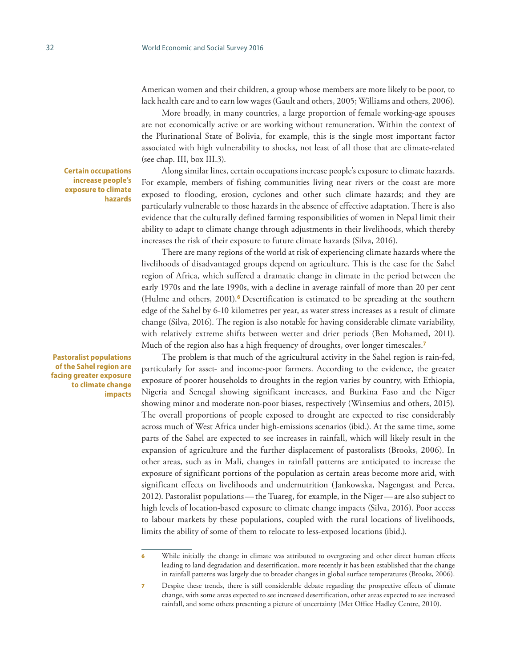American women and their children, a group whose members are more likely to be poor, to lack health care and to earn low wages (Gault and others, 2005; Williams and others, 2006).

More broadly, in many countries, a large proportion of female working-age spouses are not economically active or are working without remuneration. Within the context of the Plurinational State of Bolivia, for example, this is the single most important factor associated with high vulnerability to shocks, not least of all those that are climate-related (see chap. III, box III.3).

Along similar lines, certain occupations increase people's exposure to climate hazards. For example, members of fishing communities living near rivers or the coast are more exposed to flooding, erosion, cyclones and other such climate hazards; and they are particularly vulnerable to those hazards in the absence of effective adaptation. There is also evidence that the culturally defined farming responsibilities of women in Nepal limit their ability to adapt to climate change through adjustments in their livelihoods, which thereby increases the risk of their exposure to future climate hazards (Silva, 2016).

There are many regions of the world at risk of experiencing climate hazards where the livelihoods of disadvantaged groups depend on agriculture. This is the case for the Sahel region of Africa, which suffered a dramatic change in climate in the period between the early 1970s and the late 1990s, with a decline in average rainfall of more than 20 per cent (Hulme and others, 2001).**<sup>6</sup>** Desertification is estimated to be spreading at the southern edge of the Sahel by 6-10 kilometres per year, as water stress increases as a result of climate change (Silva, 2016). The region is also notable for having considerable climate variability, with relatively extreme shifts between wetter and drier periods (Ben Mohamed, 2011). Much of the region also has a high frequency of droughts, over longer timescales.**<sup>7</sup>**

The problem is that much of the agricultural activity in the Sahel region is rain-fed, particularly for asset- and income-poor farmers. According to the evidence, the greater exposure of poorer households to droughts in the region varies by country, with Ethiopia, Nigeria and Senegal showing significant increases, and Burkina Faso and the Niger showing minor and moderate non-poor biases, respectively (Winsemius and others, 2015). The overall proportions of people exposed to drought are expected to rise considerably across much of West Africa under high-emissions scenarios (ibid.). At the same time, some parts of the Sahel are expected to see increases in rainfall, which will likely result in the expansion of agriculture and the further displacement of pastoralists (Brooks, 2006). In other areas, such as in Mali, changes in rainfall patterns are anticipated to increase the exposure of significant portions of the population as certain areas become more arid, with significant effects on livelihoods and undernutrition (Jankowska, Nagengast and Perea, 2012). Pastoralist populations—the Tuareg, for example, in the Niger—are also subject to high levels of location-based exposure to climate change impacts (Silva, 2016). Poor access to labour markets by these populations, coupled with the rural locations of livelihoods, limits the ability of some of them to relocate to less-exposed locations (ibid.).

**Certain occupations increase people's exposure to climate hazards**

**Pastoralist populations of the Sahel region are facing greater exposure to climate change impacts**

While initially the change in climate was attributed to overgrazing and other direct human effects leading to land degradation and desertification, more recently it has been established that the change in rainfall patterns was largely due to broader changes in global surface temperatures (Brooks, 2006).

<sup>7</sup> Despite these trends, there is still considerable debate regarding the prospective effects of climate change, with some areas expected to see increased desertification, other areas expected to see increased rainfall, and some others presenting a picture of uncertainty (Met Office Hadley Centre, 2010).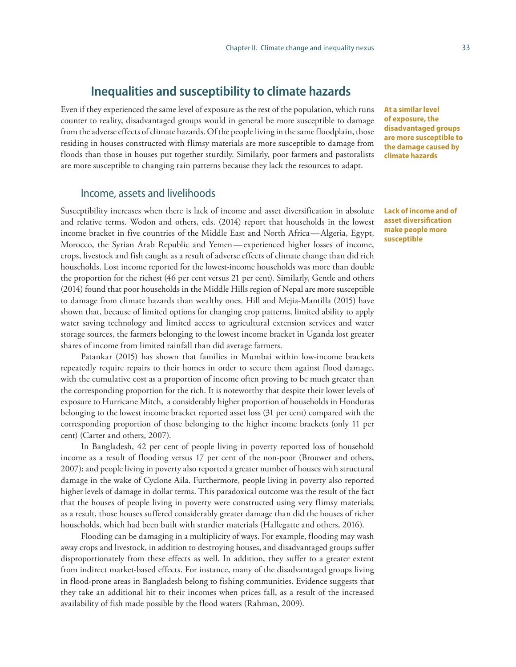# **Inequalities and susceptibility to climate hazards**

Even if they experienced the same level of exposure as the rest of the population, which runs counter to reality, disadvantaged groups would in general be more susceptible to damage from the adverse effects of climate hazards. Of the people living in the same floodplain, those residing in houses constructed with flimsy materials are more susceptible to damage from floods than those in houses put together sturdily. Similarly, poor farmers and pastoralists are more susceptible to changing rain patterns because they lack the resources to adapt.

Income, assets and livelihoods

Susceptibility increases when there is lack of income and asset diversification in absolute and relative terms. Wodon and others, eds. (2014) report that households in the lowest income bracket in five countries of the Middle East and North Africa—Algeria, Egypt, Morocco, the Syrian Arab Republic and Yemen—experienced higher losses of income, crops, livestock and fish caught as a result of adverse effects of climate change than did rich households. Lost income reported for the lowest-income households was more than double the proportion for the richest (46 per cent versus 21 per cent). Similarly, Gentle and others (2014) found that poor households in the Middle Hills region of Nepal are more susceptible to damage from climate hazards than wealthy ones. Hill and Mejia-Mantilla (2015) have shown that, because of limited options for changing crop patterns, limited ability to apply water saving technology and limited access to agricultural extension services and water storage sources, the farmers belonging to the lowest income bracket in Uganda lost greater shares of income from limited rainfall than did average farmers.

Patankar (2015) has shown that families in Mumbai within low-income brackets repeatedly require repairs to their homes in order to secure them against flood damage, with the cumulative cost as a proportion of income often proving to be much greater than the corresponding proportion for the rich. It is noteworthy that despite their lower levels of exposure to Hurricane Mitch, a considerably higher proportion of households in Honduras belonging to the lowest income bracket reported asset loss (31 per cent) compared with the corresponding proportion of those belonging to the higher income brackets (only 11 per cent) (Carter and others, 2007).

In Bangladesh, 42 per cent of people living in poverty reported loss of household income as a result of flooding versus 17 per cent of the non-poor (Brouwer and others, 2007); and people living in poverty also reported a greater number of houses with structural damage in the wake of Cyclone Aila. Furthermore, people living in poverty also reported higher levels of damage in dollar terms. This paradoxical outcome was the result of the fact that the houses of people living in poverty were constructed using very flimsy materials; as a result, those houses suffered considerably greater damage than did the houses of richer households, which had been built with sturdier materials (Hallegatte and others, 2016).

Flooding can be damaging in a multiplicity of ways. For example, flooding may wash away crops and livestock, in addition to destroying houses, and disadvantaged groups suffer disproportionately from these effects as well. In addition, they suffer to a greater extent from indirect market-based effects. For instance, many of the disadvantaged groups living in flood-prone areas in Bangladesh belong to fishing communities. Evidence suggests that they take an additional hit to their incomes when prices fall, as a result of the increased availability of fish made possible by the flood waters (Rahman, 2009).

**At a similar level of exposure, the disadvantaged groups are more susceptible to the damage caused by climate hazards**

**Lack of income and of asset diversification make people more susceptible**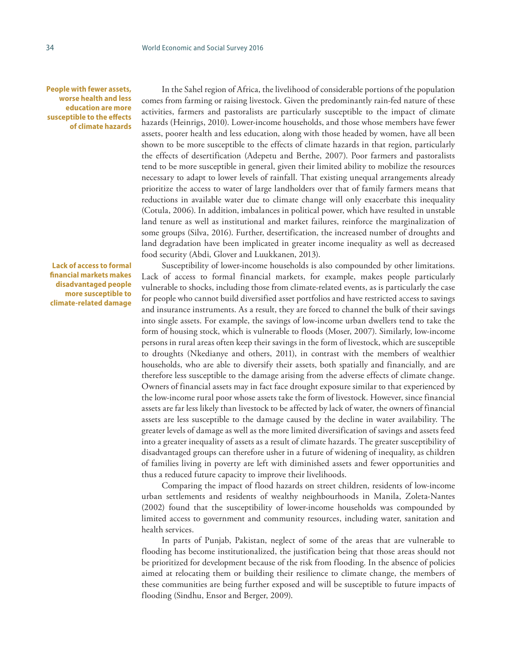**People with fewer assets, worse health and less education are more susceptible to the effects of climate hazards** 

**Lack of access to formal financial markets makes disadvantaged people more susceptible to climate-related damage**

In the Sahel region of Africa, the livelihood of considerable portions of the population comes from farming or raising livestock. Given the predominantly rain-fed nature of these activities, farmers and pastoralists are particularly susceptible to the impact of climate hazards (Heinrigs, 2010). Lower-income households, and those whose members have fewer assets, poorer health and less education, along with those headed by women, have all been shown to be more susceptible to the effects of climate hazards in that region, particularly the effects of desertification (Adepetu and Berthe, 2007). Poor farmers and pastoralists tend to be more susceptible in general, given their limited ability to mobilize the resources necessary to adapt to lower levels of rainfall. That existing unequal arrangements already prioritize the access to water of large landholders over that of family farmers means that reductions in available water due to climate change will only exacerbate this inequality (Cotula, 2006). In addition, imbalances in political power, which have resulted in unstable land tenure as well as institutional and market failures, reinforce the marginalization of some groups (Silva, 2016). Further, desertification, the increased number of droughts and land degradation have been implicated in greater income inequality as well as decreased food security (Abdi, Glover and Luukkanen, 2013).

Susceptibility of lower-income households is also compounded by other limitations. Lack of access to formal financial markets, for example, makes people particularly vulnerable to shocks, including those from climate-related events, as is particularly the case for people who cannot build diversified asset portfolios and have restricted access to savings and insurance instruments. As a result, they are forced to channel the bulk of their savings into single assets. For example, the savings of low-income urban dwellers tend to take the form of housing stock, which is vulnerable to floods (Moser, 2007). Similarly, low-income persons in rural areas often keep their savings in the form of livestock, which are susceptible to droughts (Nkedianye and others, 2011), in contrast with the members of wealthier households, who are able to diversify their assets, both spatially and financially, and are therefore less susceptible to the damage arising from the adverse effects of climate change. Owners of financial assets may in fact face drought exposure similar to that experienced by the low-income rural poor whose assets take the form of livestock. However, since financial assets are far less likely than livestock to be affected by lack of water, the owners of financial assets are less susceptible to the damage caused by the decline in water availability. The greater levels of damage as well as the more limited diversification of savings and assets feed into a greater inequality of assets as a result of climate hazards. The greater susceptibility of disadvantaged groups can therefore usher in a future of widening of inequality, as children of families living in poverty are left with diminished assets and fewer opportunities and thus a reduced future capacity to improve their livelihoods.

Comparing the impact of flood hazards on street children, residents of low-income urban settlements and residents of wealthy neighbourhoods in Manila, Zoleta-Nantes (2002) found that the susceptibility of lower-income households was compounded by limited access to government and community resources, including water, sanitation and health services.

In parts of Punjab, Pakistan, neglect of some of the areas that are vulnerable to flooding has become institutionalized, the justification being that those areas should not be prioritized for development because of the risk from flooding. In the absence of policies aimed at relocating them or building their resilience to climate change, the members of these communities are being further exposed and will be susceptible to future impacts of flooding (Sindhu, Ensor and Berger, 2009).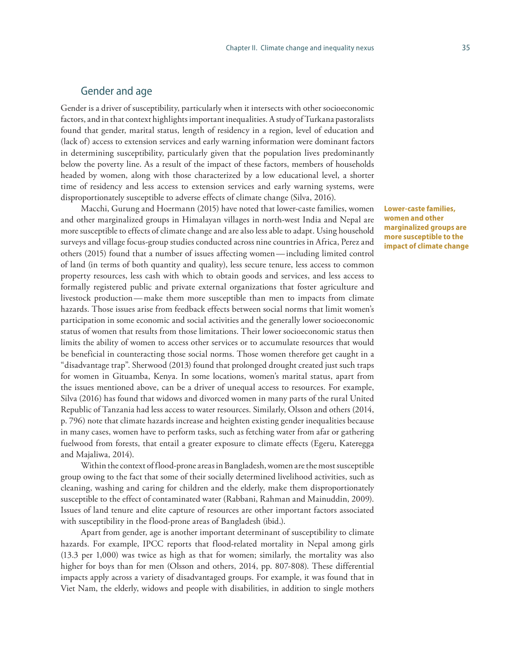### Gender and age

Gender is a driver of susceptibility, particularly when it intersects with other socioeconomic factors, and in that context highlights important inequalities. A study of Turkana pastoralists found that gender, marital status, length of residency in a region, level of education and (lack of) access to extension services and early warning information were dominant factors in determining susceptibility, particularly given that the population lives predominantly below the poverty line. As a result of the impact of these factors, members of households headed by women, along with those characterized by a low educational level, a shorter time of residency and less access to extension services and early warning systems, were disproportionately susceptible to adverse effects of climate change (Silva, 2016).

Macchi, Gurung and Hoermann (2015) have noted that lower-caste families, women and other marginalized groups in Himalayan villages in north-west India and Nepal are more susceptible to effects of climate change and are also less able to adapt. Using household surveys and village focus-group studies conducted across nine countries in Africa, Perez and others (2015) found that a number of issues affecting women—including limited control of land (in terms of both quantity and quality), less secure tenure, less access to common property resources, less cash with which to obtain goods and services, and less access to formally registered public and private external organizations that foster agriculture and livestock production—make them more susceptible than men to impacts from climate hazards. Those issues arise from feedback effects between social norms that limit women's participation in some economic and social activities and the generally lower socioeconomic status of women that results from those limitations. Their lower socioeconomic status then limits the ability of women to access other services or to accumulate resources that would be beneficial in counteracting those social norms. Those women therefore get caught in a "disadvantage trap". Sherwood (2013) found that prolonged drought created just such traps for women in Gituamba, Kenya. In some locations, women's marital status, apart from the issues mentioned above, can be a driver of unequal access to resources. For example, Silva (2016) has found that widows and divorced women in many parts of the rural United Republic of Tanzania had less access to water resources. Similarly, Olsson and others (2014, p. 796) note that climate hazards increase and heighten existing gender inequalities because in many cases, women have to perform tasks, such as fetching water from afar or gathering fuelwood from forests, that entail a greater exposure to climate effects (Egeru, Kateregga and Majaliwa, 2014).

Within the context of flood-prone areas in Bangladesh, women are the most susceptible group owing to the fact that some of their socially determined livelihood activities, such as cleaning, washing and caring for children and the elderly, make them disproportionately susceptible to the effect of contaminated water (Rabbani, Rahman and Mainuddin, 2009). Issues of land tenure and elite capture of resources are other important factors associated with susceptibility in the flood-prone areas of Bangladesh (ibid.).

Apart from gender, age is another important determinant of susceptibility to climate hazards. For example, IPCC reports that flood-related mortality in Nepal among girls (13.3 per 1,000) was twice as high as that for women; similarly, the mortality was also higher for boys than for men (Olsson and others, 2014, pp. 807-808). These differential impacts apply across a variety of disadvantaged groups. For example, it was found that in Viet Nam, the elderly, widows and people with disabilities, in addition to single mothers **Lower-caste families, women and other marginalized groups are more susceptible to the impact of climate change**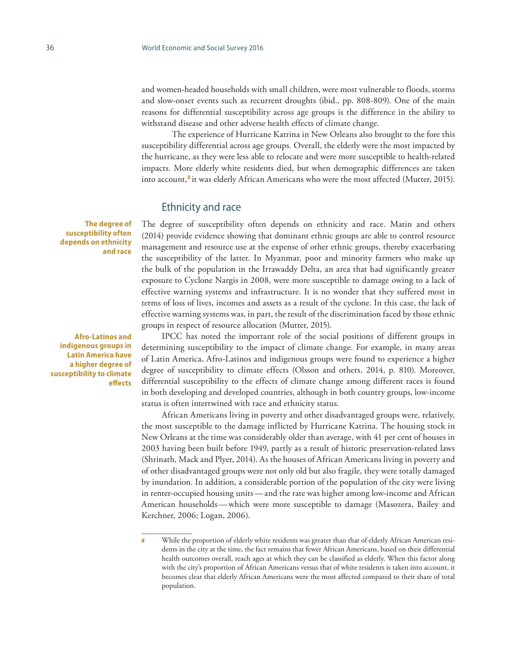and women-headed households with small children, were most vulnerable to floods, storms and slow-onset events such as recurrent droughts (ibid., pp. 808-809). One of the main reasons for differential susceptibility across age groups is the difference in the ability to withstand disease and other adverse health effects of climate change.

The experience of Hurricane Katrina in New Orleans also brought to the fore this susceptibility differential across age groups. Overall, the elderly were the most impacted by the hurricane, as they were less able to relocate and were more susceptible to health-related impacts. More elderly white residents died, but when demographic differences are taken into account,**<sup>8</sup>** it was elderly African Americans who were the most affected (Mutter, 2015).

#### Ethnicity and race

The degree of susceptibility often depends on ethnicity and race. Matin and others (2014) provide evidence showing that dominant ethnic groups are able to control resource management and resource use at the expense of other ethnic groups, thereby exacerbating the susceptibility of the latter. In Myanmar, poor and minority farmers who make up the bulk of the population in the Irrawaddy Delta, an area that had significantly greater exposure to Cyclone Nargis in 2008, were more susceptible to damage owing to a lack of effective warning systems and infrastructure. It is no wonder that they suffered most in terms of loss of lives, incomes and assets as a result of the cyclone. In this case, the lack of effective warning systems was, in part, the result of the discrimination faced by those ethnic groups in respect of resource allocation (Mutter, 2015).

IPCC has noted the important role of the social positions of different groups in determining susceptibility to the impact of climate change. For example, in many areas of Latin America, Afro-Latinos and indigenous groups were found to experience a higher degree of susceptibility to climate effects (Olsson and others, 2014, p. 810). Moreover, differential susceptibility to the effects of climate change among different races is found in both developing and developed countries, although in both country groups, low-income status is often intertwined with race and ethnicity status.

African Americans living in poverty and other disadvantaged groups were, relatively, the most susceptible to the damage inflicted by Hurricane Katrina. The housing stock in New Orleans at the time was considerably older than average, with 41 per cent of houses in 2003 having been built before 1949, partly as a result of historic preservation-related laws (Shrinath, Mack and Plyer, 2014). As the houses of African Americans living in poverty and of other disadvantaged groups were not only old but also fragile, they were totally damaged by inundation. In addition, a considerable portion of the population of the city were living in renter-occupied housing units—and the rate was higher among low-income and African American households—which were more susceptible to damage (Masozera, Bailey and Kerchner, 2006; Logan, 2006).

**The degree of susceptibility often depends on ethnicity and race**

**Afro-Latinos and indigenous groups in Latin America have a higher degree of susceptibility to climate effects**

While the proportion of elderly white residents was greater than that of elderly African American residents in the city at the time, the fact remains that fewer African Americans, based on their differential health outcomes overall, reach ages at which they can be classified as elderly. When this factor along with the city's proportion of African Americans versus that of white residents is taken into account, it becomes clear that elderly African Americans were the most affected compared to their share of total population.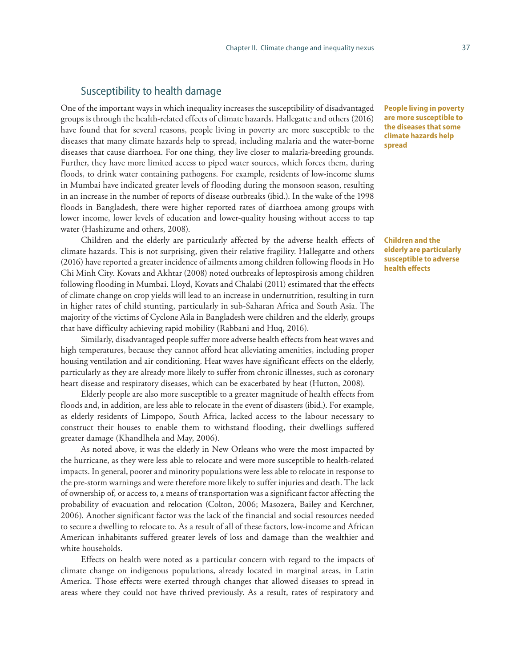#### Susceptibility to health damage

One of the important ways in which inequality increases the susceptibility of disadvantaged groups is through the health-related effects of climate hazards. Hallegatte and others (2016) have found that for several reasons, people living in poverty are more susceptible to the diseases that many climate hazards help to spread, including malaria and the water-borne diseases that cause diarrhoea. For one thing, they live closer to malaria-breeding grounds. Further, they have more limited access to piped water sources, which forces them, during floods, to drink water containing pathogens. For example, residents of low-income slums in Mumbai have indicated greater levels of flooding during the monsoon season, resulting in an increase in the number of reports of disease outbreaks (ibid.). In the wake of the 1998 floods in Bangladesh, there were higher reported rates of diarrhoea among groups with lower income, lower levels of education and lower-quality housing without access to tap water (Hashizume and others, 2008).

Children and the elderly are particularly affected by the adverse health effects of climate hazards. This is not surprising, given their relative fragility. Hallegatte and others (2016) have reported a greater incidence of ailments among children following floods in Ho Chi Minh City. Kovats and Akhtar (2008) noted outbreaks of leptospirosis among children following flooding in Mumbai. Lloyd, Kovats and Chalabi (2011) estimated that the effects of climate change on crop yields will lead to an increase in undernutrition, resulting in turn in higher rates of child stunting, particularly in sub-Saharan Africa and South Asia. The majority of the victims of Cyclone Aila in Bangladesh were children and the elderly, groups that have difficulty achieving rapid mobility (Rabbani and Huq, 2016).

Similarly, disadvantaged people suffer more adverse health effects from heat waves and high temperatures, because they cannot afford heat alleviating amenities, including proper housing ventilation and air conditioning. Heat waves have significant effects on the elderly, particularly as they are already more likely to suffer from chronic illnesses, such as coronary heart disease and respiratory diseases, which can be exacerbated by heat (Hutton, 2008).

Elderly people are also more susceptible to a greater magnitude of health effects from floods and, in addition, are less able to relocate in the event of disasters (ibid.). For example, as elderly residents of Limpopo, South Africa, lacked access to the labour necessary to construct their houses to enable them to withstand flooding, their dwellings suffered greater damage (Khandlhela and May, 2006).

As noted above, it was the elderly in New Orleans who were the most impacted by the hurricane, as they were less able to relocate and were more susceptible to health-related impacts. In general, poorer and minority populations were less able to relocate in response to the pre-storm warnings and were therefore more likely to suffer injuries and death. The lack of ownership of, or access to, a means of transportation was a significant factor affecting the probability of evacuation and relocation (Colton, 2006; Masozera, Bailey and Kerchner, 2006). Another significant factor was the lack of the financial and social resources needed to secure a dwelling to relocate to. As a result of all of these factors, low-income and African American inhabitants suffered greater levels of loss and damage than the wealthier and white households.

Effects on health were noted as a particular concern with regard to the impacts of climate change on indigenous populations, already located in marginal areas, in Latin America. Those effects were exerted through changes that allowed diseases to spread in areas where they could not have thrived previously. As a result, rates of respiratory and

**People living in poverty are more susceptible to the diseases that some climate hazards help spread** 

**Children and the elderly are particularly susceptible to adverse health effects**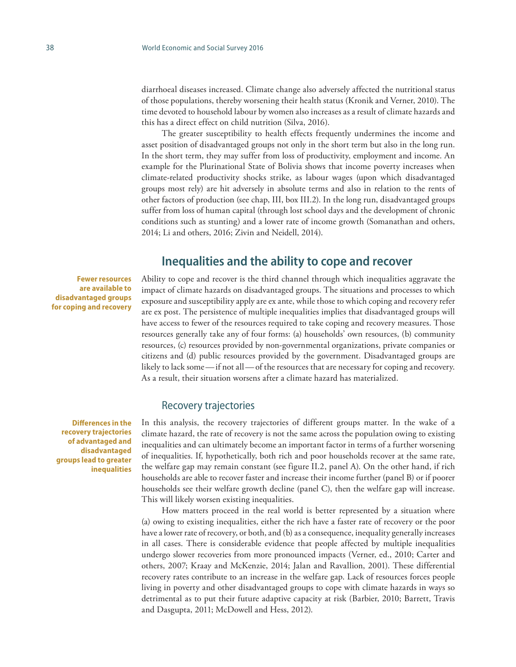diarrhoeal diseases increased. Climate change also adversely affected the nutritional status of those populations, thereby worsening their health status (Kronik and Verner, 2010). The time devoted to household labour by women also increases as a result of climate hazards and this has a direct effect on child nutrition (Silva, 2016).

The greater susceptibility to health effects frequently undermines the income and asset position of disadvantaged groups not only in the short term but also in the long run. In the short term, they may suffer from loss of productivity, employment and income. An example for the Plurinational State of Bolivia shows that income poverty increases when climate-related productivity shocks strike, as labour wages (upon which disadvantaged groups most rely) are hit adversely in absolute terms and also in relation to the rents of other factors of production (see chap, III, box III.2). In the long run, disadvantaged groups suffer from loss of human capital (through lost school days and the development of chronic conditions such as stunting) and a lower rate of income growth (Somanathan and others, 2014; Li and others, 2016; Zivin and Neidell, 2014).

# **Inequalities and the ability to cope and recover**

**Fewer resources are available to disadvantaged groups for coping and recovery**

Ability to cope and recover is the third channel through which inequalities aggravate the impact of climate hazards on disadvantaged groups. The situations and processes to which exposure and susceptibility apply are ex ante, while those to which coping and recovery refer are ex post. The persistence of multiple inequalities implies that disadvantaged groups will have access to fewer of the resources required to take coping and recovery measures. Those resources generally take any of four forms: (a) households' own resources, (b) community resources, (c) resources provided by non-governmental organizations, private companies or citizens and (d) public resources provided by the government. Disadvantaged groups are likely to lack some—if not all—of the resources that are necessary for coping and recovery. As a result, their situation worsens after a climate hazard has materialized.

#### Recovery trajectories

In this analysis, the recovery trajectories of different groups matter. In the wake of a climate hazard, the rate of recovery is not the same across the population owing to existing inequalities and can ultimately become an important factor in terms of a further worsening of inequalities. If, hypothetically, both rich and poor households recover at the same rate, the welfare gap may remain constant (see figure II.2, panel A). On the other hand, if rich households are able to recover faster and increase their income further (panel B) or if poorer households see their welfare growth decline (panel C), then the welfare gap will increase. This will likely worsen existing inequalities.

How matters proceed in the real world is better represented by a situation where (a) owing to existing inequalities, either the rich have a faster rate of recovery or the poor have a lower rate of recovery, or both, and (b) as a consequence, inequality generally increases in all cases. There is considerable evidence that people affected by multiple inequalities undergo slower recoveries from more pronounced impacts (Verner, ed., 2010; Carter and others, 2007; Kraay and McKenzie, 2014; Jalan and Ravallion, 2001). These differential recovery rates contribute to an increase in the welfare gap. Lack of resources forces people living in poverty and other disadvantaged groups to cope with climate hazards in ways so detrimental as to put their future adaptive capacity at risk (Barbier, 2010; Barrett, Travis and Dasgupta, 2011; McDowell and Hess, 2012).

**Differences in the recovery trajectories of advantaged and disadvantaged groups lead to greater inequalities**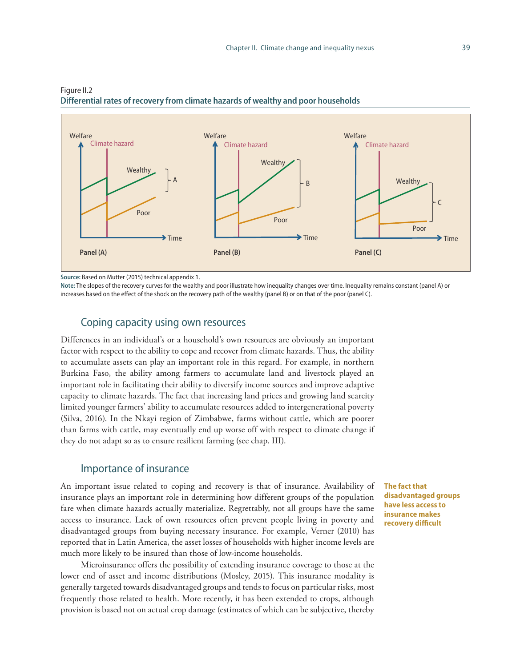

Figure II.2 **Differential rates of recovery from climate hazards of wealthy and poor households**

**Source:** Based on Mutter (2015) technical appendix 1.

**Note:** The slopes of the recovery curves for the wealthy and poor illustrate how inequality changes over time. Inequality remains constant (panel A) or increases based on the effect of the shock on the recovery path of the wealthy (panel B) or on that of the poor (panel C).

#### Coping capacity using own resources

Differences in an individual's or a household's own resources are obviously an important factor with respect to the ability to cope and recover from climate hazards. Thus, the ability to accumulate assets can play an important role in this regard. For example, in northern Burkina Faso, the ability among farmers to accumulate land and livestock played an important role in facilitating their ability to diversify income sources and improve adaptive capacity to climate hazards. The fact that increasing land prices and growing land scarcity limited younger farmers' ability to accumulate resources added to intergenerational poverty (Silva, 2016). In the Nkayi region of Zimbabwe, farms without cattle, which are poorer than farms with cattle, may eventually end up worse off with respect to climate change if they do not adapt so as to ensure resilient farming (see chap. III).

### Importance of insurance

An important issue related to coping and recovery is that of insurance. Availability of insurance plays an important role in determining how different groups of the population fare when climate hazards actually materialize. Regrettably, not all groups have the same access to insurance. Lack of own resources often prevent people living in poverty and disadvantaged groups from buying necessary insurance. For example, Verner (2010) has reported that in Latin America, the asset losses of households with higher income levels are much more likely to be insured than those of low-income households.

Microinsurance offers the possibility of extending insurance coverage to those at the lower end of asset and income distributions (Mosley, 2015). This insurance modality is generally targeted towards disadvantaged groups and tends to focus on particular risks, most frequently those related to health. More recently, it has been extended to crops, although provision is based not on actual crop damage (estimates of which can be subjective, thereby **The fact that disadvantaged groups have less access to insurance makes recovery difficult**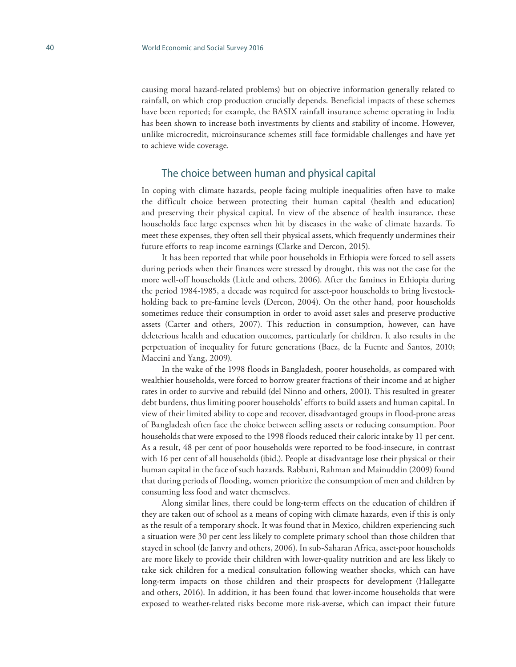causing moral hazard-related problems) but on objective information generally related to rainfall, on which crop production crucially depends. Beneficial impacts of these schemes have been reported; for example, the BASIX rainfall insurance scheme operating in India has been shown to increase both investments by clients and stability of income. However, unlike microcredit, microinsurance schemes still face formidable challenges and have yet to achieve wide coverage.

#### The choice between human and physical capital

In coping with climate hazards, people facing multiple inequalities often have to make the difficult choice between protecting their human capital (health and education) and preserving their physical capital. In view of the absence of health insurance, these households face large expenses when hit by diseases in the wake of climate hazards. To meet these expenses, they often sell their physical assets, which frequently undermines their future efforts to reap income earnings (Clarke and Dercon, 2015).

It has been reported that while poor households in Ethiopia were forced to sell assets during periods when their finances were stressed by drought, this was not the case for the more well-off households (Little and others, 2006). After the famines in Ethiopia during the period 1984-1985, a decade was required for asset-poor households to bring livestockholding back to pre-famine levels (Dercon, 2004). On the other hand, poor households sometimes reduce their consumption in order to avoid asset sales and preserve productive assets (Carter and others, 2007). This reduction in consumption, however, can have deleterious health and education outcomes, particularly for children. It also results in the perpetuation of inequality for future generations (Baez, de la Fuente and Santos, 2010; Maccini and Yang, 2009).

In the wake of the 1998 floods in Bangladesh, poorer households, as compared with wealthier households, were forced to borrow greater fractions of their income and at higher rates in order to survive and rebuild (del Ninno and others, 2001). This resulted in greater debt burdens, thus limiting poorer households' efforts to build assets and human capital. In view of their limited ability to cope and recover, disadvantaged groups in flood-prone areas of Bangladesh often face the choice between selling assets or reducing consumption. Poor households that were exposed to the 1998 floods reduced their caloric intake by 11 per cent. As a result, 48 per cent of poor households were reported to be food-insecure, in contrast with 16 per cent of all households (ibid.). People at disadvantage lose their physical or their human capital in the face of such hazards. Rabbani, Rahman and Mainuddin (2009) found that during periods of flooding, women prioritize the consumption of men and children by consuming less food and water themselves.

Along similar lines, there could be long-term effects on the education of children if they are taken out of school as a means of coping with climate hazards, even if this is only as the result of a temporary shock. It was found that in Mexico, children experiencing such a situation were 30 per cent less likely to complete primary school than those children that stayed in school (de Janvry and others, 2006). In sub-Saharan Africa, asset-poor households are more likely to provide their children with lower-quality nutrition and are less likely to take sick children for a medical consultation following weather shocks, which can have long-term impacts on those children and their prospects for development (Hallegatte and others, 2016). In addition, it has been found that lower-income households that were exposed to weather-related risks become more risk-averse, which can impact their future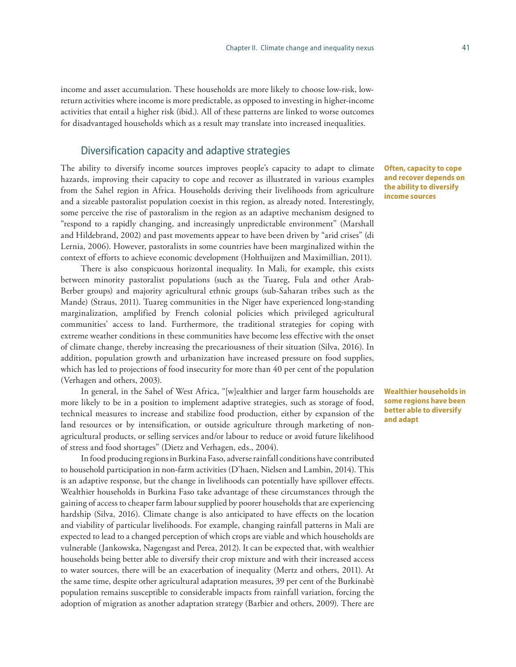income and asset accumulation. These households are more likely to choose low-risk, lowreturn activities where income is more predictable, as opposed to investing in higher-income activities that entail a higher risk (ibid.). All of these patterns are linked to worse outcomes for disadvantaged households which as a result may translate into increased inequalities.

### Diversification capacity and adaptive strategies

The ability to diversify income sources improves people's capacity to adapt to climate hazards, improving their capacity to cope and recover as illustrated in various examples from the Sahel region in Africa. Households deriving their livelihoods from agriculture and a sizeable pastoralist population coexist in this region, as already noted. Interestingly, some perceive the rise of pastoralism in the region as an adaptive mechanism designed to "respond to a rapidly changing, and increasingly unpredictable environment" (Marshall and Hildebrand, 2002) and past movements appear to have been driven by "arid crises" (di Lernia, 2006). However, pastoralists in some countries have been marginalized within the context of efforts to achieve economic development (Holthuijzen and Maximillian, 2011).

There is also conspicuous horizontal inequality. In Mali, for example, this exists between minority pastoralist populations (such as the Tuareg, Fula and other Arab-Berber groups) and majority agricultural ethnic groups (sub-Saharan tribes such as the Mande) (Straus, 2011). Tuareg communities in the Niger have experienced long-standing marginalization, amplified by French colonial policies which privileged agricultural communities' access to land. Furthermore, the traditional strategies for coping with extreme weather conditions in these communities have become less effective with the onset of climate change, thereby increasing the precariousness of their situation (Silva, 2016). In addition, population growth and urbanization have increased pressure on food supplies, which has led to projections of food insecurity for more than 40 per cent of the population (Verhagen and others, 2003).

In general, in the Sahel of West Africa, "[w]ealthier and larger farm households are more likely to be in a position to implement adaptive strategies, such as storage of food, technical measures to increase and stabilize food production, either by expansion of the land resources or by intensification, or outside agriculture through marketing of nonagricultural products, or selling services and/or labour to reduce or avoid future likelihood of stress and food shortages" (Dietz and Verhagen, eds., 2004).

In food producing regions in Burkina Faso, adverse rainfall conditions have contributed to household participation in non-farm activities (D'haen, Nielsen and Lambin, 2014). This is an adaptive response, but the change in livelihoods can potentially have spillover effects. Wealthier households in Burkina Faso take advantage of these circumstances through the gaining of access to cheaper farm labour supplied by poorer households that are experiencing hardship (Silva, 2016). Climate change is also anticipated to have effects on the location and viability of particular livelihoods. For example, changing rainfall patterns in Mali are expected to lead to a changed perception of which crops are viable and which households are vulnerable (Jankowska, Nagengast and Perea, 2012). It can be expected that, with wealthier households being better able to diversify their crop mixture and with their increased access to water sources, there will be an exacerbation of inequality (Mertz and others, 2011). At the same time, despite other agricultural adaptation measures, 39 per cent of the Burkinabè population remains susceptible to considerable impacts from rainfall variation, forcing the adoption of migration as another adaptation strategy (Barbier and others, 2009). There are

**Often, capacity to cope and recover depends on the ability to diversify income sources**

**Wealthier households in some regions have been better able to diversify and adapt**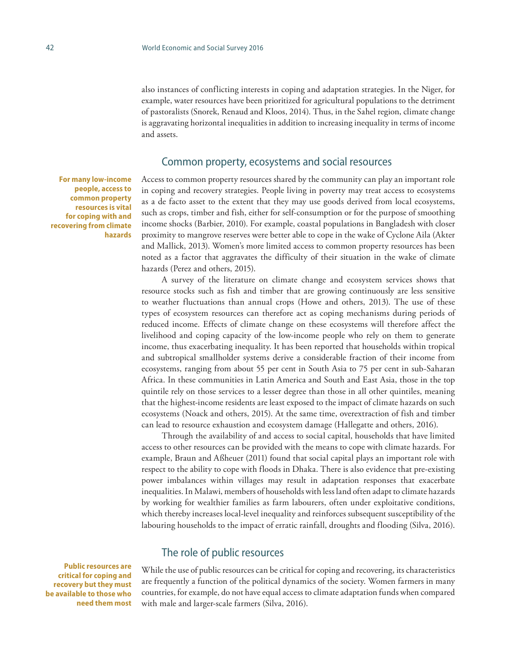also instances of conflicting interests in coping and adaptation strategies. In the Niger, for example, water resources have been prioritized for agricultural populations to the detriment of pastoralists (Snorek, Renaud and Kloos, 2014). Thus, in the Sahel region, climate change is aggravating horizontal inequalities in addition to increasing inequality in terms of income and assets.

#### Common property, ecosystems and social resources

**For many low-income people, access to common property resources is vital for coping with and recovering from climate hazards**

Access to common property resources shared by the community can play an important role in coping and recovery strategies. People living in poverty may treat access to ecosystems as a de facto asset to the extent that they may use goods derived from local ecosystems, such as crops, timber and fish, either for self-consumption or for the purpose of smoothing income shocks (Barbier, 2010). For example, coastal populations in Bangladesh with closer proximity to mangrove reserves were better able to cope in the wake of Cyclone Aila (Akter and Mallick, 2013). Women's more limited access to common property resources has been noted as a factor that aggravates the difficulty of their situation in the wake of climate hazards (Perez and others, 2015).

A survey of the literature on climate change and ecosystem services shows that resource stocks such as fish and timber that are growing continuously are less sensitive to weather fluctuations than annual crops (Howe and others, 2013). The use of these types of ecosystem resources can therefore act as coping mechanisms during periods of reduced income. Effects of climate change on these ecosystems will therefore affect the livelihood and coping capacity of the low-income people who rely on them to generate income, thus exacerbating inequality. It has been reported that households within tropical and subtropical smallholder systems derive a considerable fraction of their income from ecosystems, ranging from about 55 per cent in South Asia to 75 per cent in sub-Saharan Africa. In these communities in Latin America and South and East Asia, those in the top quintile rely on those services to a lesser degree than those in all other quintiles, meaning that the highest-income residents are least exposed to the impact of climate hazards on such ecosystems (Noack and others, 2015). At the same time, overextraction of fish and timber can lead to resource exhaustion and ecosystem damage (Hallegatte and others, 2016).

Through the availability of and access to social capital, households that have limited access to other resources can be provided with the means to cope with climate hazards. For example, Braun and Aßheuer (2011) found that social capital plays an important role with respect to the ability to cope with floods in Dhaka. There is also evidence that pre-existing power imbalances within villages may result in adaptation responses that exacerbate inequalities. In Malawi, members of households with less land often adapt to climate hazards by working for wealthier families as farm labourers, often under exploitative conditions, which thereby increases local-level inequality and reinforces subsequent susceptibility of the labouring households to the impact of erratic rainfall, droughts and flooding (Silva, 2016).

### The role of public resources

While the use of public resources can be critical for coping and recovering, its characteristics are frequently a function of the political dynamics of the society. Women farmers in many countries, for example, do not have equal access to climate adaptation funds when compared with male and larger-scale farmers (Silva, 2016).

**Public resources are critical for coping and recovery but they must be available to those who need them most**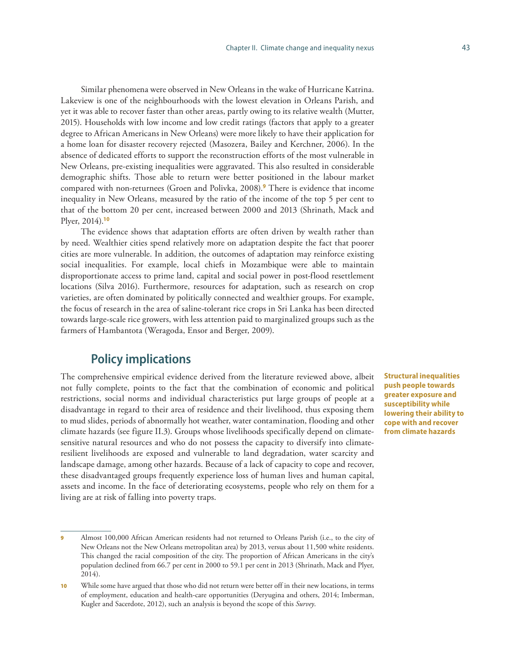Similar phenomena were observed in New Orleans in the wake of Hurricane Katrina. Lakeview is one of the neighbourhoods with the lowest elevation in Orleans Parish, and yet it was able to recover faster than other areas, partly owing to its relative wealth (Mutter, 2015). Households with low income and low credit ratings (factors that apply to a greater degree to African Americans in New Orleans) were more likely to have their application for a home loan for disaster recovery rejected (Masozera, Bailey and Kerchner, 2006). In the absence of dedicated efforts to support the reconstruction efforts of the most vulnerable in New Orleans, pre-existing inequalities were aggravated. This also resulted in considerable demographic shifts. Those able to return were better positioned in the labour market compared with non-returnees (Groen and Polivka, 2008).**<sup>9</sup>** There is evidence that income inequality in New Orleans, measured by the ratio of the income of the top 5 per cent to that of the bottom 20 per cent, increased between 2000 and 2013 (Shrinath, Mack and Plyer, 2014).**<sup>10</sup>**

The evidence shows that adaptation efforts are often driven by wealth rather than by need. Wealthier cities spend relatively more on adaptation despite the fact that poorer cities are more vulnerable. In addition, the outcomes of adaptation may reinforce existing social inequalities. For example, local chiefs in Mozambique were able to maintain disproportionate access to prime land, capital and social power in post-flood resettlement locations (Silva 2016). Furthermore, resources for adaptation, such as research on crop varieties, are often dominated by politically connected and wealthier groups. For example, the focus of research in the area of saline-tolerant rice crops in Sri Lanka has been directed towards large-scale rice growers, with less attention paid to marginalized groups such as the farmers of Hambantota (Weragoda, Ensor and Berger, 2009).

# **Policy implications**

The comprehensive empirical evidence derived from the literature reviewed above, albeit not fully complete, points to the fact that the combination of economic and political restrictions, social norms and individual characteristics put large groups of people at a disadvantage in regard to their area of residence and their livelihood, thus exposing them to mud slides, periods of abnormally hot weather, water contamination, flooding and other climate hazards (see figure II.3). Groups whose livelihoods specifically depend on climatesensitive natural resources and who do not possess the capacity to diversify into climateresilient livelihoods are exposed and vulnerable to land degradation, water scarcity and landscape damage, among other hazards. Because of a lack of capacity to cope and recover, these disadvantaged groups frequently experience loss of human lives and human capital, assets and income. In the face of deteriorating ecosystems, people who rely on them for a living are at risk of falling into poverty traps.

**Structural inequalities push people towards greater exposure and susceptibility while lowering their ability to cope with and recover from climate hazards**

Almost 100,000 African American residents had not returned to Orleans Parish (i.e., to the city of New Orleans not the New Orleans metropolitan area) by 2013, versus about 11,500 white residents. This changed the racial composition of the city. The proportion of African Americans in the city's population declined from 66.7 per cent in 2000 to 59.1 per cent in 2013 (Shrinath, Mack and Plyer, 2014).

<sup>10</sup> While some have argued that those who did not return were better off in their new locations, in terms of employment, education and health-care opportunities (Deryugina and others, 2014; Imberman, Kugler and Sacerdote, 2012), such an analysis is beyond the scope of this *Survey*.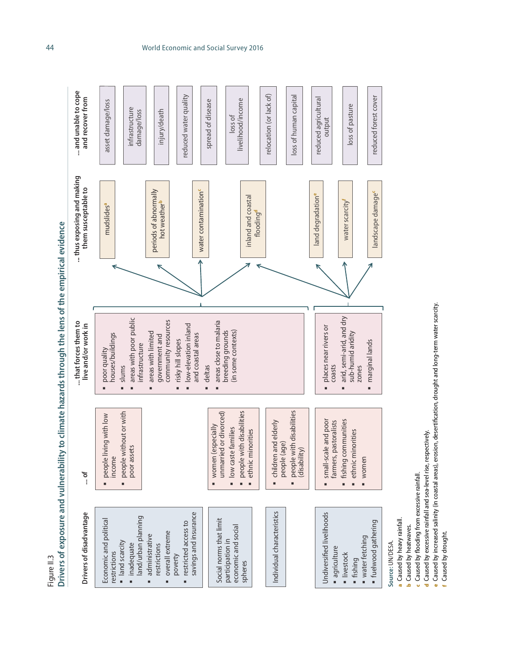Drivers of exposure and vulnerability to climate hazards through the lens of the empirical evidence **Drivers of exposure and vulnerability to climate hazards through the lens of the empirical evidence**  Figure II.3



Source: UN/DESA. **Source:** UN/DESA.

Caused by heavy rainfall. a Caused by heavy rainfall. a

Caused by heatwaves. **b** Caused by heatwaves. ء

c

d

Caused by flooding from excessive rainfall. Caused by flooding from excessive rainfall.

Caused by excessive rainfall and sea-level rise, respectively. Caused by excessive rainfall and sea-level rise, respectively.

Caused by increased salinity (in coastal areas), erosion, desertification, drought and long-term water scarcity. Caused by increased salinity (in coastal areas), erosion, desertification, drought and long-term water scarcity. e

Caused by drought. Caused by drought.f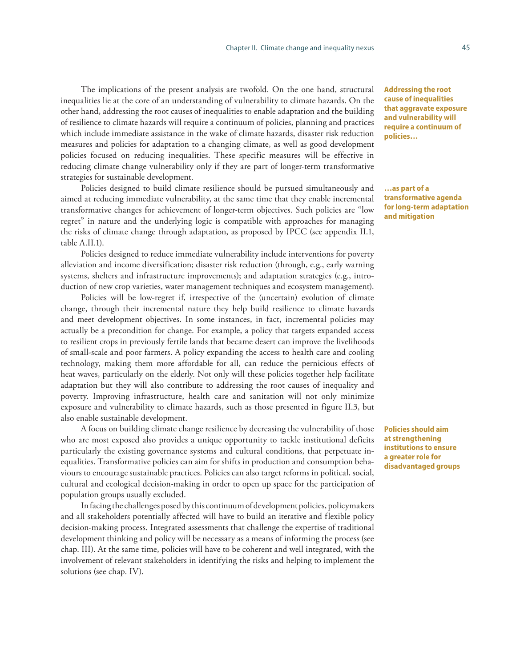The implications of the present analysis are twofold. On the one hand, structural inequalities lie at the core of an understanding of vulnerability to climate hazards. On the other hand, addressing the root causes of inequalities to enable adaptation and the building of resilience to climate hazards will require a continuum of policies, planning and practices which include immediate assistance in the wake of climate hazards, disaster risk reduction measures and policies for adaptation to a changing climate, as well as good development policies focused on reducing inequalities. These specific measures will be effective in reducing climate change vulnerability only if they are part of longer-term transformative strategies for sustainable development.

Policies designed to build climate resilience should be pursued simultaneously and aimed at reducing immediate vulnerability, at the same time that they enable incremental transformative changes for achievement of longer-term objectives. Such policies are "low regret" in nature and the underlying logic is compatible with approaches for managing the risks of climate change through adaptation, as proposed by IPCC (see appendix II.1, table A.II.1).

Policies designed to reduce immediate vulnerability include interventions for poverty alleviation and income diversification; disaster risk reduction (through, e.g., early warning systems, shelters and infrastructure improvements); and adaptation strategies (e.g., introduction of new crop varieties, water management techniques and ecosystem management).

Policies will be low-regret if, irrespective of the (uncertain) evolution of climate change, through their incremental nature they help build resilience to climate hazards and meet development objectives. In some instances, in fact, incremental policies may actually be a precondition for change. For example, a policy that targets expanded access to resilient crops in previously fertile lands that became desert can improve the livelihoods of small-scale and poor farmers. A policy expanding the access to health care and cooling technology, making them more affordable for all, can reduce the pernicious effects of heat waves, particularly on the elderly. Not only will these policies together help facilitate adaptation but they will also contribute to addressing the root causes of inequality and poverty. Improving infrastructure, health care and sanitation will not only minimize exposure and vulnerability to climate hazards, such as those presented in figure II.3, but also enable sustainable development.

A focus on building climate change resilience by decreasing the vulnerability of those who are most exposed also provides a unique opportunity to tackle institutional deficits particularly the existing governance systems and cultural conditions, that perpetuate inequalities. Transformative policies can aim for shifts in production and consumption behaviours to encourage sustainable practices. Policies can also target reforms in political, social, cultural and ecological decision-making in order to open up space for the participation of population groups usually excluded.

In facing the challenges posed by this continuum of development policies, policymakers and all stakeholders potentially affected will have to build an iterative and flexible policy decision-making process. Integrated assessments that challenge the expertise of traditional development thinking and policy will be necessary as a means of informing the process (see chap. III). At the same time, policies will have to be coherent and well integrated, with the involvement of relevant stakeholders in identifying the risks and helping to implement the solutions (see chap. IV).

**Addressing the root cause of inequalities that aggravate exposure and vulnerability will require a continuum of policies…** 

**…as part of a transformative agenda for long-term adaptation and mitigation**

**Policies should aim at strengthening institutions to ensure a greater role for disadvantaged groups**